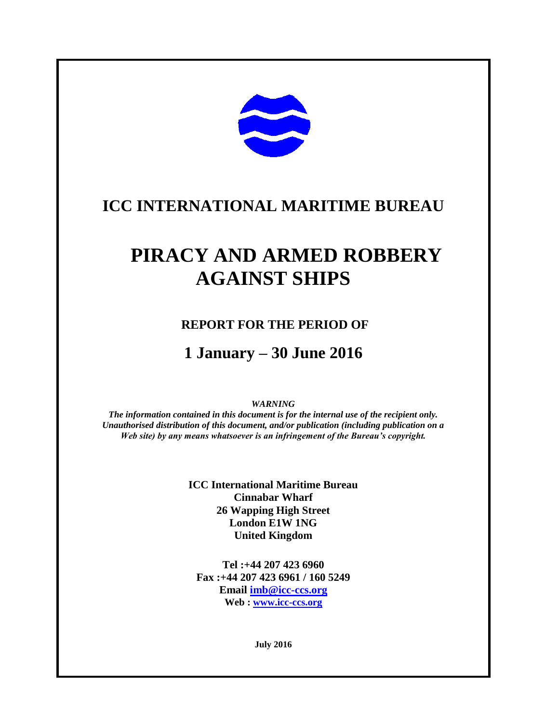

narrbservation

# **ICC INTERNATIONAL MARITIME BUREAU**

# **PIRACY AND ARMED ROBBERY AGAINST SHIPS**

## **REPORT FOR THE PERIOD OF**

## **1 January – 30 June 2016**

#### *WARNING*

*The information contained in this document is for the internal use of the recipient only. Unauthorised distribution of this document, and/or publication (including publication on a Web site) by any means whatsoever is an infringement of the Bureau's copyright.*

> **ICC International Maritime Bureau Cinnabar Wharf 26 Wapping High Street London E1W 1NG United Kingdom**

**Tel :+44 207 423 6960 Fax :+44 207 423 6961 / 160 5249 Email [imb@icc-ccs.org](mailto:imb@icc-ccs.org) Web : [www.icc-ccs.org](http://www.icc-ccs.org/)**

**July 2016**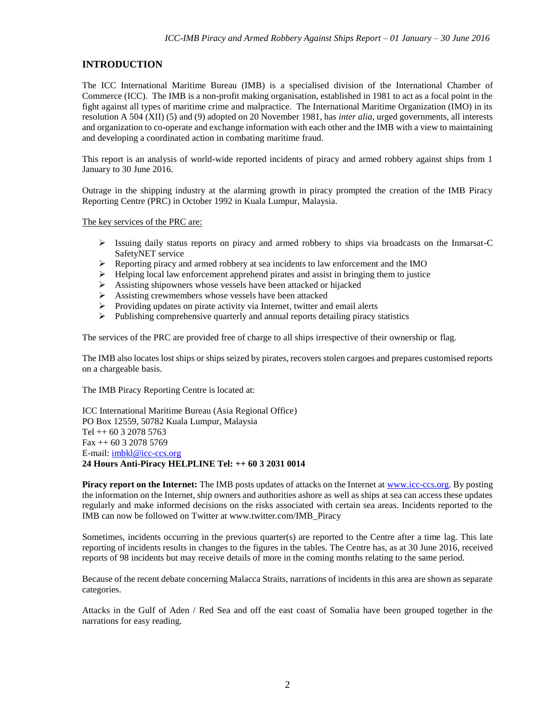#### **INTRODUCTION**

The ICC International Maritime Bureau (IMB) is a specialised division of the International Chamber of Commerce (ICC). The IMB is a non-profit making organisation, established in 1981 to act as a focal point in the fight against all types of maritime crime and malpractice. The International Maritime Organization (IMO) in its resolution A 504 (XII) (5) and (9) adopted on 20 November 1981, has *inter alia*, urged governments, all interests and organization to co-operate and exchange information with each other and the IMB with a view to maintaining and developing a coordinated action in combating maritime fraud.

This report is an analysis of world-wide reported incidents of piracy and armed robbery against ships from 1 January to 30 June 2016.

Outrage in the shipping industry at the alarming growth in piracy prompted the creation of the IMB Piracy Reporting Centre (PRC) in October 1992 in Kuala Lumpur, Malaysia.

The key services of the PRC are:

- $\triangleright$  Issuing daily status reports on piracy and armed robbery to ships via broadcasts on the Inmarsat-C SafetyNET service
- Reporting piracy and armed robbery at sea incidents to law enforcement and the IMO
- $\triangleright$  Helping local law enforcement apprehend pirates and assist in bringing them to justice
- Assisting shipowners whose vessels have been attacked or hijacked
- Assisting crewmembers whose vessels have been attacked
- $\triangleright$  Providing updates on pirate activity via Internet, twitter and email alerts
- $\triangleright$  Publishing comprehensive quarterly and annual reports detailing piracy statistics

The services of the PRC are provided free of charge to all ships irrespective of their ownership or flag.

The IMB also locates lost ships or ships seized by pirates, recovers stolen cargoes and prepares customised reports on a chargeable basis.

The IMB Piracy Reporting Centre is located at:

ICC International Maritime Bureau (Asia Regional Office) PO Box 12559, 50782 Kuala Lumpur, Malaysia Tel ++ 60 3 2078 5763 Fax ++ 60 3 2078 5769 E-mail: [imbkl@icc-ccs.org](mailto:imbkl@icc-ccs.org) **24 Hours Anti-Piracy HELPLINE Tel: ++ 60 3 2031 0014** 

**Piracy report on the Internet:** The IMB posts updates of attacks on the Internet at [www.icc-ccs.org.](http://www.icc-ccs.org/) By posting the information on the Internet, ship owners and authorities ashore as well as ships at sea can access these updates regularly and make informed decisions on the risks associated with certain sea areas. Incidents reported to the IMB can now be followed on Twitter at www.twitter.com/IMB\_Piracy

Sometimes, incidents occurring in the previous quarter(s) are reported to the Centre after a time lag. This late reporting of incidents results in changes to the figures in the tables. The Centre has, as at 30 June 2016, received reports of 98 incidents but may receive details of more in the coming months relating to the same period.

Because of the recent debate concerning Malacca Straits, narrations of incidents in this area are shown as separate categories.

Attacks in the Gulf of Aden / Red Sea and off the east coast of Somalia have been grouped together in the narrations for easy reading.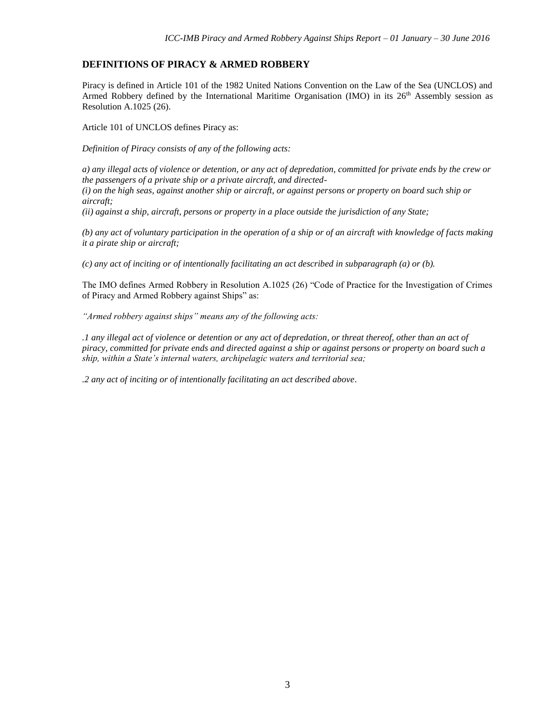#### **DEFINITIONS OF PIRACY & ARMED ROBBERY**

Piracy is defined in Article 101 of the 1982 United Nations Convention on the Law of the Sea (UNCLOS) and Armed Robbery defined by the International Maritime Organisation (IMO) in its  $26<sup>th</sup>$  Assembly session as Resolution A.1025 (26).

Article 101 of UNCLOS defines Piracy as:

*Definition of Piracy consists of any of the following acts:* 

*a) any illegal acts of violence or detention, or any act of depredation, committed for private ends by the crew or the passengers of a private ship or a private aircraft, and directed-*

*(i) on the high seas, against another ship or aircraft, or against persons or property on board such ship or aircraft;* 

*(ii) against a ship, aircraft, persons or property in a place outside the jurisdiction of any State;*

*(b) any act of voluntary participation in the operation of a ship or of an aircraft with knowledge of facts making it a pirate ship or aircraft;*

*(c) any act of inciting or of intentionally facilitating an act described in subparagraph (a) or (b).*

The IMO defines Armed Robbery in Resolution A.1025 (26) "Code of Practice for the Investigation of Crimes of Piracy and Armed Robbery against Ships" as:

*"Armed robbery against ships" means any of the following acts:*

*.1 any illegal act of violence or detention or any act of depredation, or threat thereof, other than an act of piracy, committed for private ends and directed against a ship or against persons or property on board such a ship, within a State's internal waters, archipelagic waters and territorial sea;*

*.2 any act of inciting or of intentionally facilitating an act described above.*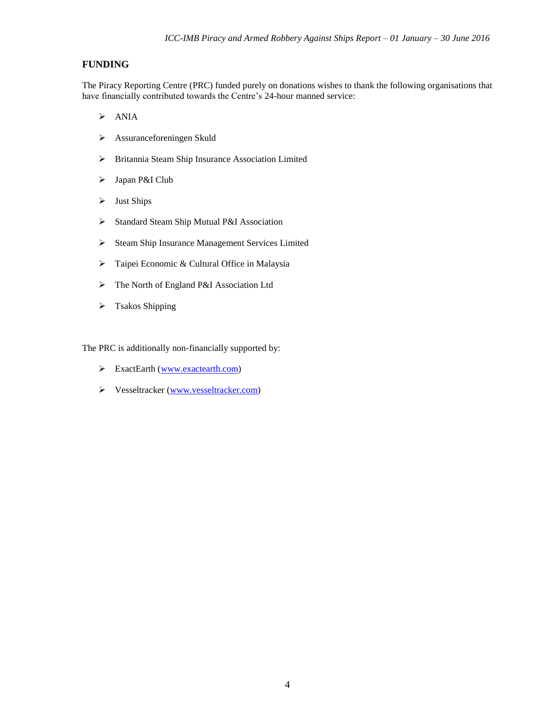#### **FUNDING**

The Piracy Reporting Centre (PRC) funded purely on donations wishes to thank the following organisations that have financially contributed towards the Centre's 24-hour manned service:

- $\triangleright$  ANIA
- Assuranceforeningen Skuld
- Britannia Steam Ship Insurance Association Limited
- > Japan P&I Club
- $\triangleright$  Just Ships
- Standard Steam Ship Mutual P&I Association
- Steam Ship Insurance Management Services Limited
- > Taipei Economic & Cultural Office in Malaysia
- The North of England P&I Association Ltd
- > Tsakos Shipping

The PRC is additionally non-financially supported by:

- ExactEarth [\(www.exactearth.com\)](http://www.exactearth.com/)
- Vesseltracker [\(www.vesseltracker.com\)](http://www.vesseltracker.com/)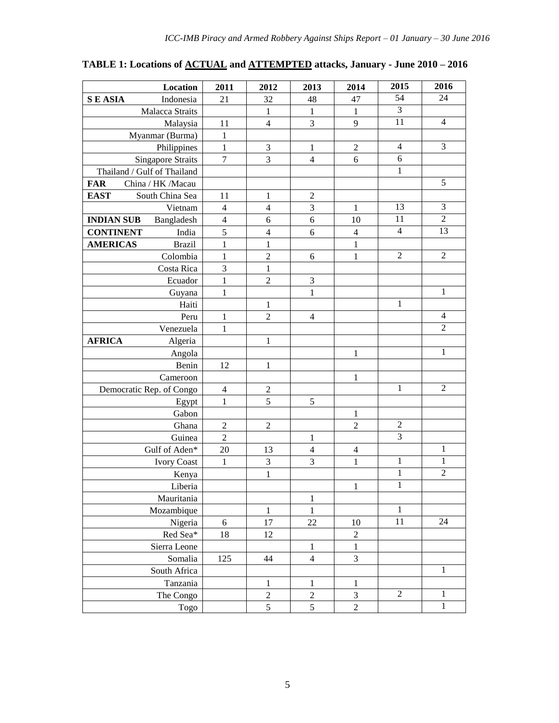# **TABLE 1: Locations of ACTUAL and ATTEMPTED attacks, January - June 2010 – 2016**

| Location                         | 2011           | 2012             | 2013                        | 2014                     | 2015           | 2016           |
|----------------------------------|----------------|------------------|-----------------------------|--------------------------|----------------|----------------|
| <b>SEASIA</b><br>Indonesia       | 21             | 32               | 48                          | 47                       | 54             | 24             |
| Malacca Straits                  |                | 1                | $\mathbf{1}$                | $\mathbf{1}$             | $\mathfrak{Z}$ |                |
| Malaysia                         | 11             | $\overline{4}$   | 3                           | 9                        | 11             | 4              |
| Myanmar (Burma)                  | $\mathbf 1$    |                  |                             |                          |                |                |
| Philippines                      | $\mathbf{1}$   | 3                | 1                           | $\overline{c}$           | $\overline{4}$ | $\mathfrak 3$  |
| <b>Singapore Straits</b>         | $\tau$         | 3                | $\overline{4}$              | 6                        | $\sqrt{6}$     |                |
| Thailand / Gulf of Thailand      |                |                  |                             |                          | $\mathbf{1}$   |                |
| <b>FAR</b><br>China / HK / Macau |                |                  |                             |                          |                | 5              |
| <b>EAST</b><br>South China Sea   | 11             | $\mathbf{1}$     | $\overline{2}$              |                          |                |                |
| Vietnam                          | $\overline{4}$ | $\overline{4}$   | $\mathfrak 3$               | $\mathbf{1}$             | 13             | $\overline{3}$ |
| <b>INDIAN SUB</b><br>Bangladesh  | $\overline{4}$ | 6                | $\boldsymbol{6}$            | 10                       | 11             | $\mathfrak 2$  |
| <b>CONTINENT</b><br>India        | 5              | 4                | 6                           | $\overline{4}$           | $\overline{4}$ | 13             |
| <b>AMERICAS</b><br><b>Brazil</b> | $\mathbf{1}$   | $\mathbf{1}$     |                             | $\mathbf{1}$             |                |                |
| Colombia                         | $\mathbf{1}$   | $\overline{c}$   | 6                           | $\mathbf{1}$             | $\mathfrak{2}$ | $\overline{c}$ |
| Costa Rica                       | 3              | $\mathbf{1}$     |                             |                          |                |                |
| Ecuador                          | $\mathbf{1}$   | $\overline{2}$   | $\ensuremath{\mathfrak{Z}}$ |                          |                |                |
| Guyana                           | $\mathbf{1}$   |                  | 1                           |                          |                | $\,1$          |
| Haiti                            |                | $\mathbf{1}$     |                             |                          | $\mathbf{1}$   |                |
| Peru                             | $\mathbf{1}$   | $\overline{2}$   | $\overline{4}$              |                          |                | $\overline{4}$ |
| Venezuela                        | $\mathbf{1}$   |                  |                             |                          |                | $\overline{2}$ |
| <b>AFRICA</b><br>Algeria         |                | $\mathbf{1}$     |                             |                          |                |                |
| Angola                           |                |                  |                             | $\mathbf{1}$             |                | $\,1$          |
| Benin                            | 12             | $\mathbf{1}$     |                             |                          |                |                |
| Cameroon                         |                |                  |                             | 1                        |                |                |
| Democratic Rep. of Congo         | $\overline{4}$ | $\overline{2}$   |                             |                          | 1              | $\overline{2}$ |
| Egypt                            | $\mathbf{1}$   | 5                | 5                           |                          |                |                |
| Gabon                            |                |                  |                             | $\mathbf{1}$             |                |                |
| Ghana                            | $\sqrt{2}$     | $\boldsymbol{2}$ |                             | $\overline{c}$           | $\overline{c}$ |                |
| Guinea                           | $\mathbf{2}$   |                  | 1                           |                          | 3              |                |
| Gulf of Aden*                    | 20             | 13               | $\overline{4}$              | $\overline{\mathcal{L}}$ |                | $\mathbf{1}$   |
| <b>Ivory Coast</b>               | $\mathbf{1}$   | 3                | 3                           | $\mathbf{1}$             | $\,1$          | $\mathbf 1$    |
| Kenya                            |                | $\mathbf{1}$     |                             |                          | $\mathbf{1}$   | $\overline{2}$ |
| Liberia                          |                |                  |                             | $\mathbf{1}$             | $\mathbf{1}$   |                |
| Mauritania                       |                |                  | $\mathbf{1}$                |                          |                |                |
| Mozambique                       |                | $\,1$            | $\mathbf{1}$                |                          | 1              |                |
| Nigeria                          | 6              | 17               | 22                          | 10                       | 11             | 24             |
| Red Sea*                         | 18             | 12               |                             | $\overline{c}$           |                |                |
| Sierra Leone                     |                |                  | $\mathbf{1}$                | $\,1$                    |                |                |
| Somalia                          | 125            | 44               | $\overline{4}$              | $\overline{3}$           |                |                |
| South Africa                     |                |                  |                             |                          |                | $\,1\,$        |
| Tanzania                         |                | 1                | $\mathbf{1}$                | $\mathbf{1}$             |                |                |
| The Congo                        |                | $\overline{c}$   | $\overline{2}$              | 3                        | $\overline{2}$ | $\mathbf{1}$   |
| Togo                             |                | 5                | 5                           | $\overline{c}$           |                | $\mathbf{1}$   |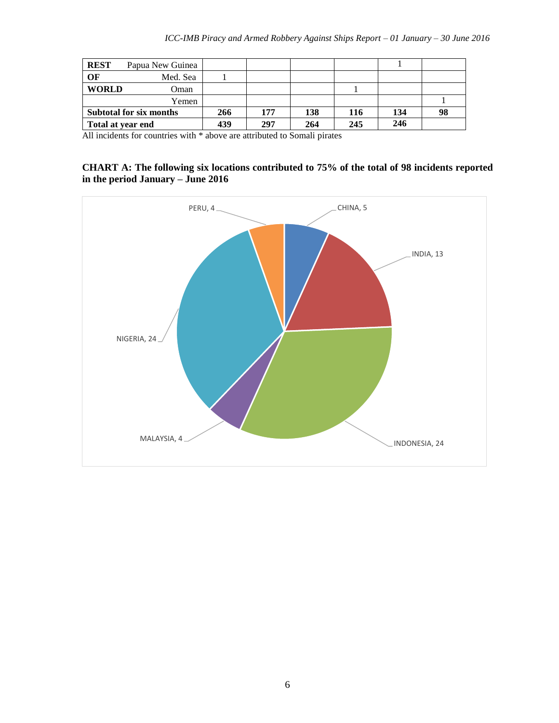| <b>REST</b>       | Papua New Guinea        |     |     |     |     |     |    |
|-------------------|-------------------------|-----|-----|-----|-----|-----|----|
| OF                | Med. Sea                |     |     |     |     |     |    |
| <b>WORLD</b>      | <b>Oman</b>             |     |     |     |     |     |    |
|                   | Yemen                   |     |     |     |     |     |    |
|                   | Subtotal for six months | 266 | 177 | 138 | 116 | 134 | 98 |
| Total at year end |                         | 439 | 297 | 264 | 245 | 246 |    |

All incidents for countries with \* above are attributed to Somali pirates

#### **CHART A: The following six locations contributed to 75% of the total of 98 incidents reported in the period January – June 2016**

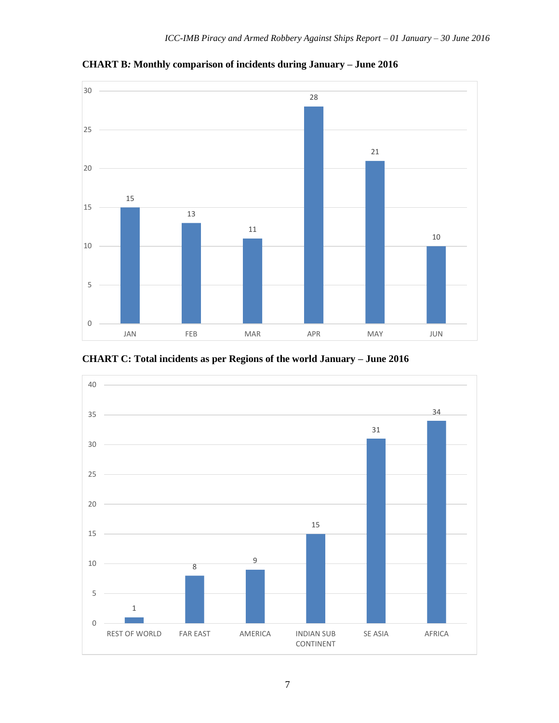

**CHART B***:* **Monthly comparison of incidents during January – June 2016**



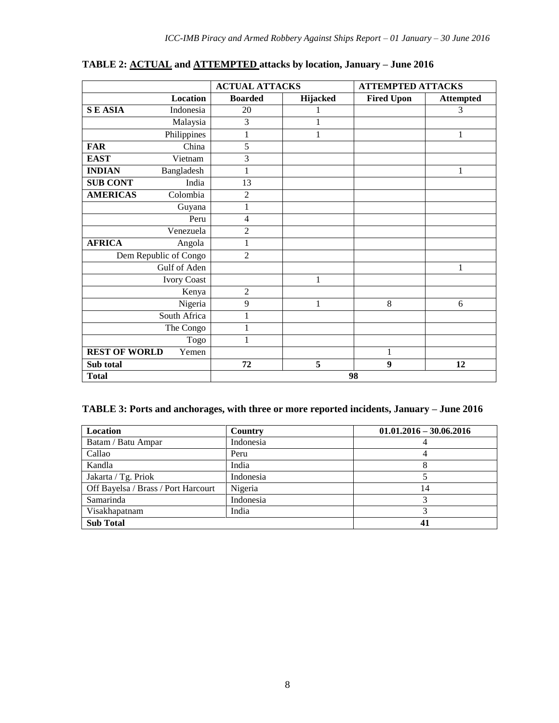|                      |                       | <b>ACTUAL ATTACKS</b> |                 | <b>ATTEMPTED ATTACKS</b> |                  |
|----------------------|-----------------------|-----------------------|-----------------|--------------------------|------------------|
|                      | Location              | <b>Boarded</b>        | <b>Hijacked</b> | <b>Fired Upon</b>        | <b>Attempted</b> |
| <b>SEASIA</b>        | Indonesia             | 20                    | 1               |                          | 3                |
|                      | Malaysia              | 3                     | 1               |                          |                  |
|                      | Philippines           | 1                     | $\mathbf{1}$    |                          | 1                |
| <b>FAR</b>           | China                 | 5                     |                 |                          |                  |
| <b>EAST</b>          | Vietnam               | 3                     |                 |                          |                  |
| <b>INDIAN</b>        | Bangladesh            | 1                     |                 |                          | 1                |
| <b>SUB CONT</b>      | India                 | $\overline{13}$       |                 |                          |                  |
| <b>AMERICAS</b>      | Colombia              | 2                     |                 |                          |                  |
|                      | Guyana                | 1                     |                 |                          |                  |
|                      | Peru                  | 4                     |                 |                          |                  |
|                      | Venezuela             | $\overline{c}$        |                 |                          |                  |
| <b>AFRICA</b>        | Angola                | 1                     |                 |                          |                  |
|                      | Dem Republic of Congo | $\overline{c}$        |                 |                          |                  |
|                      | Gulf of Aden          |                       |                 |                          | 1                |
|                      | <b>Ivory Coast</b>    |                       | 1               |                          |                  |
|                      | Kenya                 | 2                     |                 |                          |                  |
|                      | Nigeria               | 9                     | 1               | 8                        | 6                |
|                      | South Africa          |                       |                 |                          |                  |
|                      | The Congo             | 1                     |                 |                          |                  |
|                      | Togo                  | 1                     |                 |                          |                  |
| <b>REST OF WORLD</b> | Yemen                 |                       |                 | 1                        |                  |
| Sub total            |                       | 72                    | 5               | $\boldsymbol{9}$         | 12               |
| <b>Total</b>         |                       |                       |                 | 98                       |                  |

#### **TABLE 2: ACTUAL and ATTEMPTED attacks by location, January – June 2016**

### **TABLE 3: Ports and anchorages, with three or more reported incidents, January – June 2016**

| <b>Location</b>                     | Country   | $01.01.2016 - 30.06.2016$ |
|-------------------------------------|-----------|---------------------------|
| Batam / Batu Ampar                  | Indonesia |                           |
| Callao                              | Peru      |                           |
| Kandla                              | India     |                           |
| Jakarta / Tg. Priok                 | Indonesia |                           |
| Off Bayelsa / Brass / Port Harcourt | Nigeria   | 14                        |
| Samarinda                           | Indonesia |                           |
| Visakhapatnam                       | India     |                           |
| <b>Sub Total</b>                    |           | 41                        |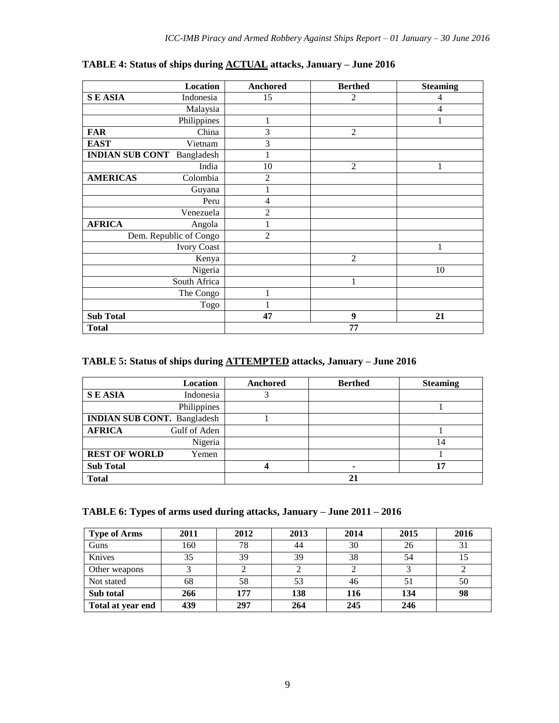| <b>Location</b>                   | Anchored       | <b>Berthed</b> | <b>Steaming</b> |
|-----------------------------------|----------------|----------------|-----------------|
| <b>SEASIA</b><br>Indonesia        | 15             | $\overline{2}$ | 4               |
| Malaysia                          |                |                | 4               |
| Philippines                       | 1              |                | 1               |
| <b>FAR</b><br>China               | 3              | $\overline{2}$ |                 |
| <b>EAST</b><br>Vietnam            | 3              |                |                 |
| <b>INDIAN SUB CONT</b> Bangladesh | $\mathbf{1}$   |                |                 |
| India                             | 10             | $\overline{2}$ |                 |
| <b>AMERICAS</b><br>Colombia       | $\overline{2}$ |                |                 |
| Guyana                            | $\mathbf{1}$   |                |                 |
| Peru                              | 4              |                |                 |
| Venezuela                         | $\overline{c}$ |                |                 |
| <b>AFRICA</b><br>Angola           | $\mathbf{1}$   |                |                 |
| Dem. Republic of Congo            | $\overline{2}$ |                |                 |
| <b>Ivory Coast</b>                |                |                |                 |
| Kenya                             |                | $\overline{2}$ |                 |
| Nigeria                           |                |                | 10              |
| South Africa                      |                | 1              |                 |
| The Congo                         | 1              |                |                 |
| Togo                              |                |                |                 |
| <b>Sub Total</b>                  | 47             | 9              | 21              |
| <b>Total</b>                      |                | 77             |                 |

**TABLE 4: Status of ships during ACTUAL attacks, January – June 2016**

#### **TABLE 5: Status of ships during ATTEMPTED attacks, January – June 2016**

|                                    | <b>Location</b> | Anchored | <b>Berthed</b> | <b>Steaming</b> |
|------------------------------------|-----------------|----------|----------------|-----------------|
| <b>SEASIA</b>                      | Indonesia       |          |                |                 |
|                                    | Philippines     |          |                |                 |
| <b>INDIAN SUB CONT.</b> Bangladesh |                 |          |                |                 |
| <b>AFRICA</b>                      | Gulf of Aden    |          |                |                 |
|                                    | Nigeria         |          |                | 14              |
| <b>REST OF WORLD</b>               | Yemen           |          |                |                 |
| <b>Sub Total</b>                   |                 |          | ۰              | 17              |
| <b>Total</b>                       |                 |          | 21             |                 |

|  |  |  | TABLE 6: Types of arms used during attacks, January - June 2011 - 2016 |  |  |
|--|--|--|------------------------------------------------------------------------|--|--|
|  |  |  |                                                                        |  |  |

| <b>Type of Arms</b> | 2011 | 2012 | 2013 | 2014 | 2015 | 2016 |
|---------------------|------|------|------|------|------|------|
| Guns                | 160  | 78   | 44   | 30   | 26   | 31   |
| Knives              | 35   | 39   | 39   | 38   | 54   | 15   |
| Other weapons       |      |      |      |      |      |      |
| Not stated          | 68   | 58   | 53   | 46   |      | 50   |
| Sub total           | 266  | 177  | 138  | 116  | 134  | 98   |
| Total at year end   | 439  | 297  | 264  | 245  | 246  |      |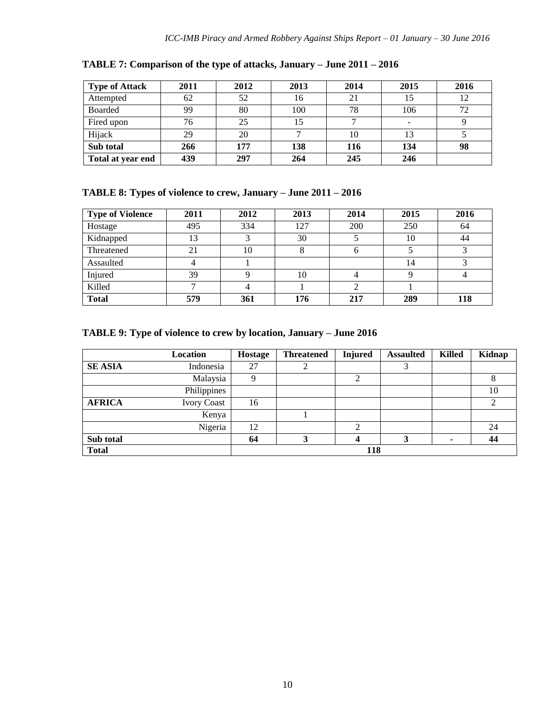| <b>Type of Attack</b> | 2011 | 2012 | 2013 | 2014 | 2015 | 2016 |
|-----------------------|------|------|------|------|------|------|
| Attempted             | 62   | 52   | 16   | 21   |      | 12   |
| <b>Boarded</b>        | 99   | 80   | 100  | 78   | 106  | 72   |
| Fired upon            | 76   | 25   |      |      |      |      |
| Hijack                | 29   | 20   |      | 10   |      |      |
| Sub total             | 266  | 177  | 138  | 116  | 134  | 98   |
| Total at year end     | 439  | 297  | 264  | 245  | 246  |      |

**TABLE 7: Comparison of the type of attacks, January – June 2011 – 2016**

## **TABLE 8: Types of violence to crew, January – June 2011 – 2016**

| <b>Type of Violence</b> | 2011 | 2012 | 2013 | 2014 | 2015 | 2016 |
|-------------------------|------|------|------|------|------|------|
| Hostage                 | 495  | 334  | 127  | 200  | 250  | 64   |
| Kidnapped               | 13   |      | 30   |      | 10   | 44   |
| Threatened              | 21   | 10   |      |      |      |      |
| Assaulted               |      |      |      |      | 14   |      |
| Injured                 | 39   |      | 10   |      |      |      |
| Killed                  |      |      |      |      |      |      |
| <b>Total</b>            | 579  | 361  | 176  | 217  | 289  | 118  |

### **TABLE 9: Type of violence to crew by location, January – June 2016**

|                | Location           | Hostage | <b>Threatened</b> | <b>Injured</b> | <b>Assaulted</b> | <b>Killed</b>            | Kidnap |
|----------------|--------------------|---------|-------------------|----------------|------------------|--------------------------|--------|
| <b>SE ASIA</b> | Indonesia          | 27      | ◠<br>∠            |                | 3                |                          |        |
|                | Malaysia           |         |                   |                |                  |                          |        |
|                | Philippines        |         |                   |                |                  |                          | 10     |
| <b>AFRICA</b>  | <b>Ivory Coast</b> | 16      |                   |                |                  |                          | 2      |
|                | Kenya              |         |                   |                |                  |                          |        |
|                | Nigeria            | 12      |                   | 2              |                  |                          | 24     |
| Sub total      |                    | 64      | 3                 |                | 3                | $\overline{\phantom{a}}$ | 44     |
| <b>Total</b>   |                    |         |                   | 118            |                  |                          |        |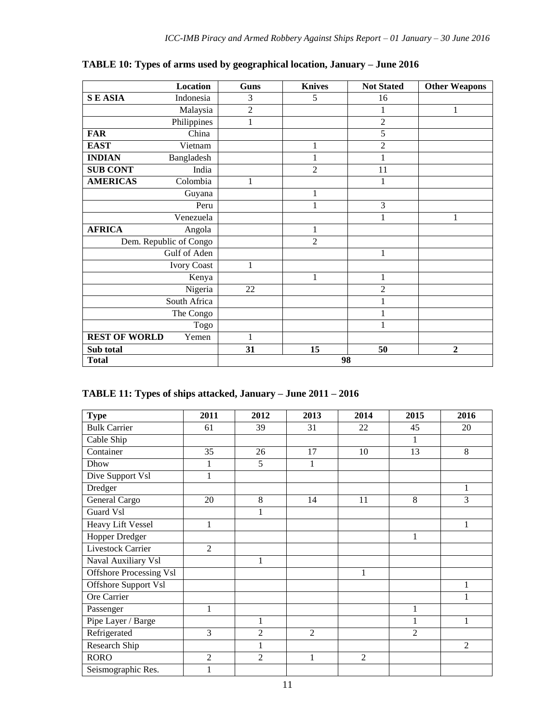|                      | Location               | <b>Guns</b>  | <b>Knives</b>  | <b>Not Stated</b> | <b>Other Weapons</b> |
|----------------------|------------------------|--------------|----------------|-------------------|----------------------|
| <b>SEASIA</b>        | Indonesia              | 3            | 5              | 16                |                      |
|                      | Malaysia               | $\sqrt{2}$   |                | 1                 | 1                    |
|                      | Philippines            | $\mathbf{1}$ |                | $\overline{2}$    |                      |
| <b>FAR</b>           | China                  |              |                | 5                 |                      |
| <b>EAST</b>          | Vietnam                |              | $\mathbf{1}$   | $\overline{2}$    |                      |
| <b>INDIAN</b>        | Bangladesh             |              | $\mathbf{1}$   | 1                 |                      |
| <b>SUB CONT</b>      | India                  |              | $\overline{2}$ | 11                |                      |
| <b>AMERICAS</b>      | Colombia               | 1            |                | 1                 |                      |
|                      | Guyana                 |              | $\mathbf{1}$   |                   |                      |
|                      | Peru                   |              | $\mathbf{1}$   | $\overline{3}$    |                      |
|                      | Venezuela              |              |                | 1                 | 1                    |
| <b>AFRICA</b>        | Angola                 |              | $\mathbf{1}$   |                   |                      |
|                      | Dem. Republic of Congo |              | $\overline{2}$ |                   |                      |
|                      | Gulf of Aden           |              |                | 1                 |                      |
|                      | <b>Ivory Coast</b>     | 1            |                |                   |                      |
|                      | Kenya                  |              | $\mathbf{1}$   | $\mathbf{1}$      |                      |
|                      | Nigeria                | 22           |                | $\overline{c}$    |                      |
|                      | South Africa           |              |                | 1                 |                      |
|                      | The Congo              |              |                | 1                 |                      |
|                      | Togo                   |              |                | 1                 |                      |
| <b>REST OF WORLD</b> | Yemen                  | $\mathbf{1}$ |                |                   |                      |
| Sub total            |                        | 31           | 15             | 50                | $\overline{2}$       |
| <b>Total</b>         |                        |              |                | 98                |                      |

**TABLE 10: Types of arms used by geographical location, January – June 2016**

## **TABLE 11: Types of ships attacked, January – June 2011 – 2016**

| <b>Type</b>                    | 2011           | 2012           | 2013           | 2014           | 2015           | 2016           |
|--------------------------------|----------------|----------------|----------------|----------------|----------------|----------------|
| <b>Bulk Carrier</b>            | 61             | 39             | 31             | 22             | 45             | 20             |
| Cable Ship                     |                |                |                |                | 1              |                |
| Container                      | 35             | 26             | 17             | 10             | 13             | 8              |
| Dhow                           | 1              | 5              | 1              |                |                |                |
| Dive Support Vsl               | 1              |                |                |                |                |                |
| Dredger                        |                |                |                |                |                | 1              |
| General Cargo                  | 20             | 8              | 14             | 11             | 8              | 3              |
| Guard Vsl                      |                | $\mathbf{1}$   |                |                |                |                |
| Heavy Lift Vessel              | 1              |                |                |                |                | $\mathbf{1}$   |
| Hopper Dredger                 |                |                |                |                | 1              |                |
| <b>Livestock Carrier</b>       | $\overline{2}$ |                |                |                |                |                |
| Naval Auxiliary Vsl            |                | 1              |                |                |                |                |
| <b>Offshore Processing Vsl</b> |                |                |                | 1              |                |                |
| Offshore Support Vsl           |                |                |                |                |                | 1              |
| Ore Carrier                    |                |                |                |                |                |                |
| Passenger                      | 1              |                |                |                | 1              |                |
| Pipe Layer / Barge             |                | 1              |                |                | 1              |                |
| Refrigerated                   | 3              | $\overline{2}$ | $\overline{2}$ |                | $\overline{2}$ |                |
| Research Ship                  |                | $\mathbf{1}$   |                |                |                | $\overline{2}$ |
| <b>RORO</b>                    | $\overline{2}$ | $\overline{2}$ | 1              | $\overline{2}$ |                |                |
| Seismographic Res.             | 1              |                |                |                |                |                |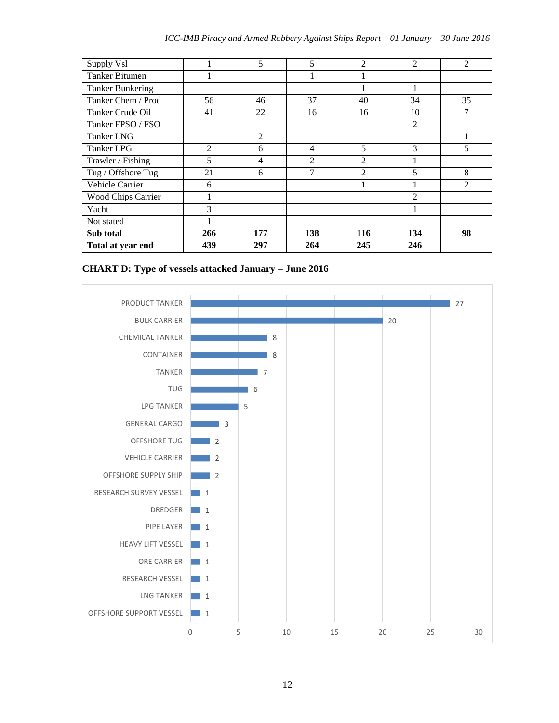| Supply Vsl                |                | 5   | 5              | $\mathfrak{D}$ | $\mathfrak{D}$ | $\overline{2}$ |
|---------------------------|----------------|-----|----------------|----------------|----------------|----------------|
| Tanker Bitumen            |                |     |                |                |                |                |
| <b>Tanker Bunkering</b>   |                |     |                |                |                |                |
| Tanker Chem / Prod        | 56             | 46  | 37             | 40             | 34             | 35             |
| Tanker Crude Oil          | 41             | 22  | 16             | 16             | 10             | 7              |
| Tanker FPSO / FSO         |                |     |                |                | 2              |                |
| Tanker LNG                |                | 2   |                |                |                | 1              |
| Tanker LPG                | $\mathfrak{D}$ | 6   | 4              | 5              | 3              | 5              |
| Trawler / Fishing         | 5              | 4   | $\overline{2}$ | 2              |                |                |
| Tug / Offshore Tug        | 21             | 6   | 7              | $\mathfrak{D}$ | 5              | 8              |
| Vehicle Carrier           | 6              |     |                |                |                | $\overline{2}$ |
| <b>Wood Chips Carrier</b> |                |     |                |                | $\overline{2}$ |                |
| Yacht                     | 3              |     |                |                | 1              |                |
| Not stated                |                |     |                |                |                |                |
| Sub total                 | 266            | 177 | 138            | 116            | 134            | 98             |
| Total at year end         | 439            | 297 | 264            | 245            | 246            |                |

**CHART D: Type of vessels attacked January – June 2016**

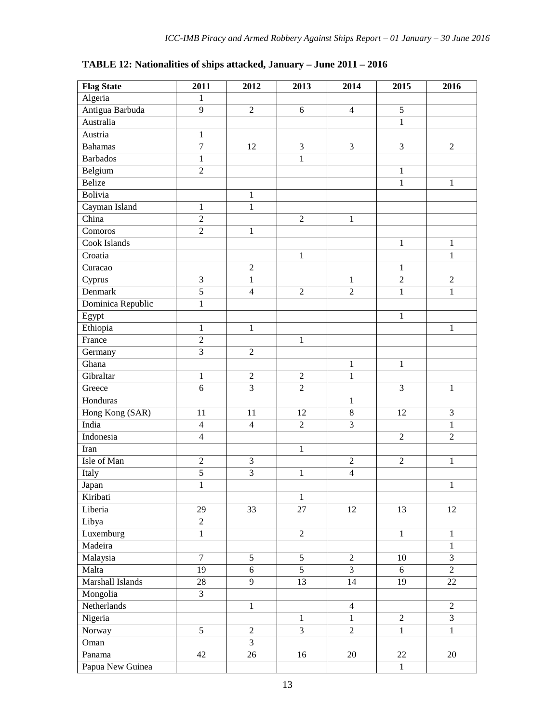| <b>Flag State</b> | 2011             | 2012           | 2013           | 2014           | 2015           | 2016           |
|-------------------|------------------|----------------|----------------|----------------|----------------|----------------|
| Algeria           | $\mathbf{1}$     |                |                |                |                |                |
| Antigua Barbuda   | 9                | $\overline{2}$ | 6              | $\overline{4}$ | $\overline{5}$ |                |
| Australia         |                  |                |                |                | $\mathbf{1}$   |                |
| Austria           | $\mathbf{1}$     |                |                |                |                |                |
| <b>Bahamas</b>    | $\overline{7}$   | 12             | $\overline{3}$ | 3              | $\overline{3}$ | $\overline{2}$ |
| <b>Barbados</b>   | $\mathbf{1}$     |                | $\mathbf{1}$   |                |                |                |
| Belgium           | $\sqrt{2}$       |                |                |                | $\mathbf{1}$   |                |
| Belize            |                  |                |                |                | $\mathbf{1}$   | $\mathbf{1}$   |
| Bolivia           |                  | $\mathbf{1}$   |                |                |                |                |
| Cayman Island     | $\mathbf{1}$     | $\mathbf{1}$   |                |                |                |                |
| China             | $\sqrt{2}$       |                | $\sqrt{2}$     | $\mathbf 1$    |                |                |
| Comoros           | $\overline{2}$   | 1              |                |                |                |                |
| Cook Islands      |                  |                |                |                | $\mathbf{1}$   | $\mathbf{1}$   |
| Croatia           |                  |                | $\mathbf{1}$   |                |                | $\mathbf{1}$   |
| Curacao           |                  | $\overline{2}$ |                |                | $\mathbf{1}$   |                |
| Cyprus            | 3                | $\mathbf{1}$   |                | $\mathbf{1}$   | $\overline{2}$ | $\sqrt{2}$     |
| Denmark           | $\overline{5}$   | $\overline{4}$ | $\overline{2}$ | $\overline{c}$ | $\mathbf{1}$   | $\mathbf{1}$   |
| Dominica Republic | $\mathbf{1}$     |                |                |                |                |                |
| Egypt             |                  |                |                |                | $\mathbf{1}$   |                |
| Ethiopia          | $\mathbf{1}$     | $\mathbf{1}$   |                |                |                | $\mathbf{1}$   |
| France            | $\boldsymbol{2}$ |                | $\,1$          |                |                |                |
| Germany           | $\overline{3}$   | $\sqrt{2}$     |                |                |                |                |
| Ghana             |                  |                |                | $\mathbf{1}$   | $\,1\,$        |                |
| Gibraltar         | $\mathbf{1}$     | $\overline{2}$ | $\overline{2}$ | $\mathbf{1}$   |                |                |
| Greece            | $\overline{6}$   | $\overline{3}$ | $\overline{2}$ |                | 3              | $\mathbf{1}$   |
| Honduras          |                  |                |                | $\mathbf{1}$   |                |                |
| Hong Kong (SAR)   | 11               | 11             | 12             | $8\,$          | 12             | $\mathfrak{Z}$ |
| India             | $\overline{4}$   | $\overline{4}$ | $\sqrt{2}$     | $\overline{3}$ |                | $\mathbf{1}$   |
| Indonesia         | $\overline{4}$   |                |                |                | $\overline{2}$ | $\overline{2}$ |
| Iran              |                  |                | $\mathbf{1}$   |                |                |                |
| Isle of Man       | $\sqrt{2}$       | $\mathfrak{Z}$ |                | $\sqrt{2}$     | $\sqrt{2}$     | $\mathbf{1}$   |
| Italy             | $\overline{5}$   | $\overline{3}$ | $\mathbf{1}$   | $\overline{4}$ |                |                |
| Japan             | $\,1$            |                |                |                |                | $\,1$          |
| Kiribati          |                  |                | 1              |                |                |                |
| Liberia           | 29               | 33             | 27             | 12             | 13             | 12             |
| Libya             | $\overline{2}$   |                |                |                |                |                |
| Luxemburg         | $\mathbf{1}$     |                | $\overline{2}$ |                | $\,1\,$        | $\mathbf{1}$   |
| Madeira           |                  |                |                |                |                | $\mathbf{1}$   |
| Malaysia          | $\tau$           | 5              | 5              | $\overline{2}$ | 10             | $\mathfrak{Z}$ |
| Malta             | 19               | $6\,$          | $\overline{5}$ | 3              | 6              | $\sqrt{2}$     |
| Marshall Islands  | 28               | 9              | 13             | 14             | 19             | 22             |
| Mongolia          | 3                |                |                |                |                |                |
| Netherlands       |                  | $\mathbf{1}$   |                | $\overline{4}$ |                | $\overline{2}$ |
| Nigeria           |                  |                | $\mathbf{1}$   | $\mathbf{1}$   | $\overline{2}$ | $\overline{3}$ |
| Norway            | $\overline{5}$   | $\overline{2}$ | $\overline{3}$ | $\overline{2}$ | $\mathbf{1}$   | $\overline{1}$ |
| Oman              |                  | $\mathfrak{Z}$ |                |                |                |                |
| Panama            | 42               | 26             | 16             | 20             | 22             | $20\,$         |
| Papua New Guinea  |                  |                |                |                | $\mathbf{1}$   |                |

#### **TABLE 12: Nationalities of ships attacked, January – June 2011 – 2016**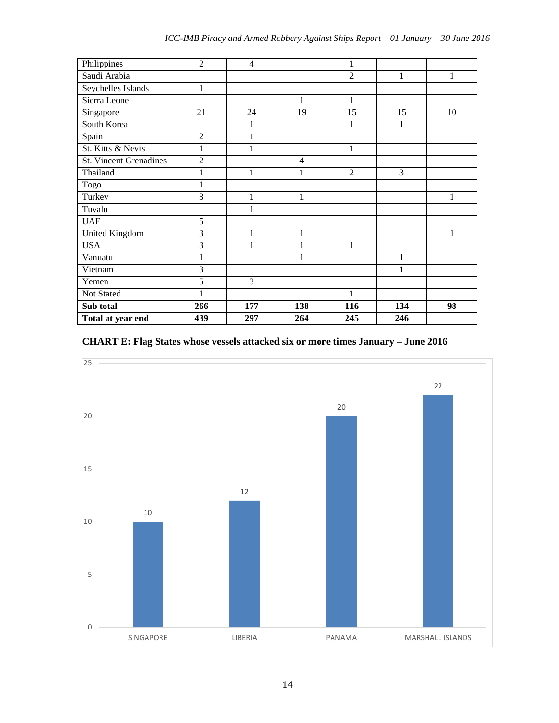| Philippines                   | $\overline{2}$ | $\overline{4}$ |                | 1              |                |              |
|-------------------------------|----------------|----------------|----------------|----------------|----------------|--------------|
| Saudi Arabia                  |                |                |                | $\overline{2}$ | $\mathbf{1}$   | $\mathbf{1}$ |
| Seychelles Islands            | 1              |                |                |                |                |              |
| Sierra Leone                  |                |                | 1              | 1              |                |              |
| Singapore                     | 21             | 24             | 19             | 15             | 15             | 10           |
| South Korea                   |                | 1              |                | 1              | 1              |              |
| Spain                         | $\overline{2}$ | 1              |                |                |                |              |
| St. Kitts & Nevis             | 1              | $\mathbf{1}$   |                | $\mathbf{1}$   |                |              |
| <b>St. Vincent Grenadines</b> | $\overline{2}$ |                | $\overline{4}$ |                |                |              |
| Thailand                      | 1              | $\mathbf{1}$   | $\mathbf{1}$   | $\overline{2}$ | $\overline{3}$ |              |
| Togo                          | 1              |                |                |                |                |              |
| Turkey                        | 3              | $\mathbf{1}$   | 1              |                |                | 1            |
| Tuvalu                        |                | 1              |                |                |                |              |
| <b>UAE</b>                    | 5              |                |                |                |                |              |
| United Kingdom                | $\overline{3}$ | 1              | 1              |                |                | 1            |
| <b>USA</b>                    | 3              | 1              | 1              | $\mathbf{1}$   |                |              |
| Vanuatu                       | 1              |                | 1              |                | 1              |              |
| Vietnam                       | $\overline{3}$ |                |                |                | 1              |              |
| Yemen                         | 5              | 3              |                |                |                |              |
| Not Stated                    | 1              |                |                | 1              |                |              |
| Sub total                     | 266            | 177            | 138            | 116            | 134            | 98           |
| Total at year end             | 439            | 297            | 264            | 245            | 246            |              |

#### **CHART E: Flag States whose vessels attacked six or more times January – June 2016**

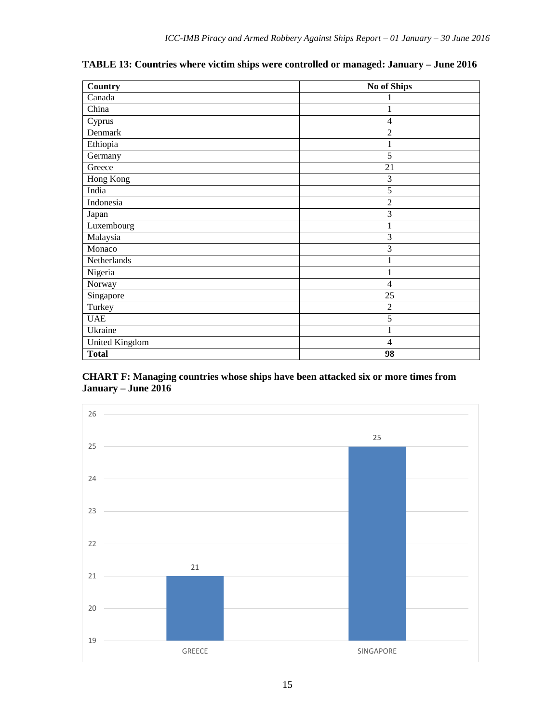| Country        | No of Ships    |
|----------------|----------------|
| Canada         |                |
| China          | 1              |
| Cyprus         | 4              |
| Denmark        | $\overline{2}$ |
| Ethiopia       | 1              |
| Germany        | 5              |
| Greece         | 21             |
| Hong Kong      | 3              |
| India          | 5              |
| Indonesia      | $\overline{2}$ |
| Japan          | 3              |
| Luxembourg     |                |
| Malaysia       | 3              |
| Monaco         | 3              |
| Netherlands    | 1              |
| Nigeria        | 1              |
| Norway         | $\overline{4}$ |
| Singapore      | 25             |
| Turkey         | $\overline{2}$ |
| <b>UAE</b>     | 5              |
| Ukraine        | 1              |
| United Kingdom | $\overline{4}$ |
| <b>Total</b>   | 98             |

**TABLE 13: Countries where victim ships were controlled or managed: January – June 2016**

#### **CHART F: Managing countries whose ships have been attacked six or more times from January – June 2016**

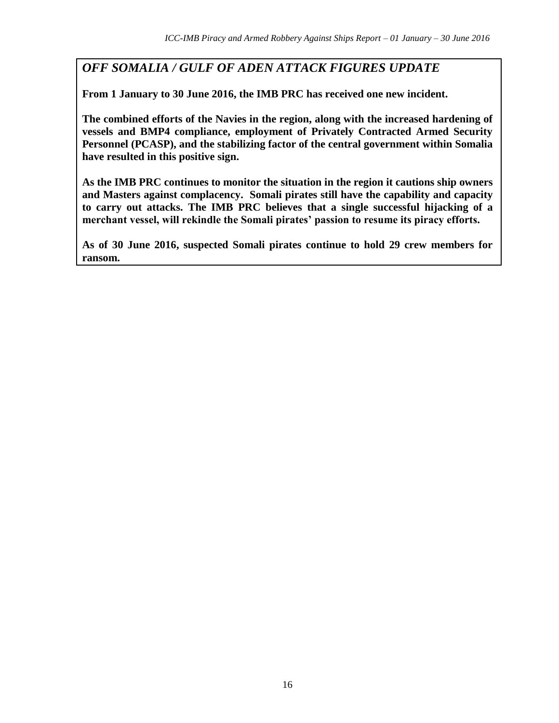*OFF SOMALIA / GULF OF ADEN ATTACK FIGURES UPDATE* 

**From 1 January to 30 June 2016, the IMB PRC has received one new incident.**

**The combined efforts of the Navies in the region, along with the increased hardening of vessels and BMP4 compliance, employment of Privately Contracted Armed Security Personnel (PCASP), and the stabilizing factor of the central government within Somalia have resulted in this positive sign.** 

**As the IMB PRC continues to monitor the situation in the region it cautions ship owners and Masters against complacency. Somali pirates still have the capability and capacity to carry out attacks. The IMB PRC believes that a single successful hijacking of a merchant vessel, will rekindle the Somali pirates' passion to resume its piracy efforts.** 

**As of 30 June 2016, suspected Somali pirates continue to hold 29 crew members for ransom.**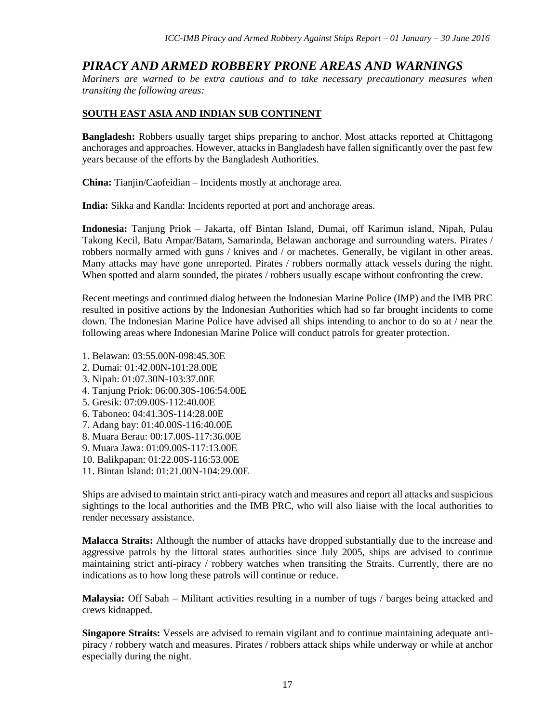## *PIRACY AND ARMED ROBBERY PRONE AREAS AND WARNINGS*

*Mariners are warned to be extra cautious and to take necessary precautionary measures when transiting the following areas:*

#### **SOUTH EAST ASIA AND INDIAN SUB CONTINENT**

**Bangladesh:** Robbers usually target ships preparing to anchor. Most attacks reported at Chittagong anchorages and approaches. However, attacks in Bangladesh have fallen significantly over the past few years because of the efforts by the Bangladesh Authorities.

**China:** Tianjin/Caofeidian – Incidents mostly at anchorage area.

**India:** Sikka and Kandla: Incidents reported at port and anchorage areas.

**Indonesia:** Tanjung Priok – Jakarta, off Bintan Island, Dumai, off Karimun island, Nipah, Pulau Takong Kecil, Batu Ampar/Batam, Samarinda, Belawan anchorage and surrounding waters. Pirates / robbers normally armed with guns / knives and / or machetes. Generally, be vigilant in other areas. Many attacks may have gone unreported. Pirates / robbers normally attack vessels during the night. When spotted and alarm sounded, the pirates / robbers usually escape without confronting the crew.

Recent meetings and continued dialog between the Indonesian Marine Police (IMP) and the IMB PRC resulted in positive actions by the Indonesian Authorities which had so far brought incidents to come down. The Indonesian Marine Police have advised all ships intending to anchor to do so at / near the following areas where Indonesian Marine Police will conduct patrols for greater protection.

- 1. Belawan: 03:55.00N-098:45.30E
- 2. Dumai: 01:42.00N-101:28.00E
- 3. Nipah: 01:07.30N-103:37.00E
- 4. Tanjung Priok: 06:00.30S-106:54.00E
- 5. Gresik: 07:09.00S-112:40.00E
- 6. Taboneo: 04:41.30S-114:28.00E
- 7. Adang bay: 01:40.00S-116:40.00E
- 8. Muara Berau: 00:17.00S-117:36.00E
- 9. Muara Jawa: 01:09.00S-117:13.00E
- 10. Balikpapan: 01:22.00S-116:53.00E
- 11. Bintan Island: 01:21.00N-104:29.00E

Ships are advised to maintain strict anti-piracy watch and measures and report all attacks and suspicious sightings to the local authorities and the IMB PRC, who will also liaise with the local authorities to render necessary assistance.

**Malacca Straits:** Although the number of attacks have dropped substantially due to the increase and aggressive patrols by the littoral states authorities since July 2005, ships are advised to continue maintaining strict anti-piracy / robbery watches when transiting the Straits. Currently, there are no indications as to how long these patrols will continue or reduce.

**Malaysia:** Off Sabah – Militant activities resulting in a number of tugs / barges being attacked and crews kidnapped.

**Singapore Straits:** Vessels are advised to remain vigilant and to continue maintaining adequate antipiracy / robbery watch and measures. Pirates / robbers attack ships while underway or while at anchor especially during the night.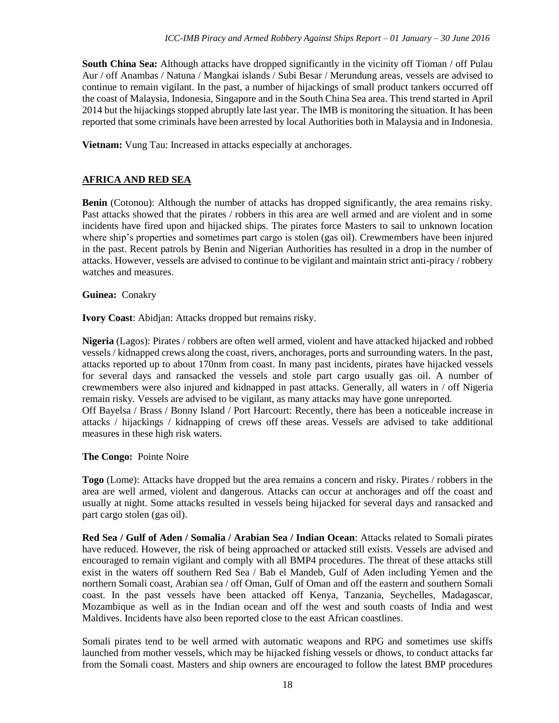**South China Sea:** Although attacks have dropped significantly in the vicinity off Tioman / off Pulau Aur / off Anambas / Natuna / Mangkai islands / Subi Besar / Merundung areas, vessels are advised to continue to remain vigilant. In the past, a number of hijackings of small product tankers occurred off the coast of Malaysia, Indonesia, Singapore and in the South China Sea area. This trend started in April 2014 but the hijackings stopped abruptly late last year. The IMB is monitoring the situation. It has been reported that some criminals have been arrested by local Authorities both in Malaysia and in Indonesia.

**Vietnam:** Vung Tau: Increased in attacks especially at anchorages.

#### **AFRICA AND RED SEA**

**Benin** (Cotonou): Although the number of attacks has dropped significantly, the area remains risky. Past attacks showed that the pirates / robbers in this area are well armed and are violent and in some incidents have fired upon and hijacked ships. The pirates force Masters to sail to unknown location where ship's properties and sometimes part cargo is stolen (gas oil). Crewmembers have been injured in the past. Recent patrols by Benin and Nigerian Authorities has resulted in a drop in the number of attacks. However, vessels are advised to continue to be vigilant and maintain strict anti-piracy / robbery watches and measures.

#### **Guinea:** Conakry

**Ivory Coast**: Abidjan: Attacks dropped but remains risky.

**Nigeria** (Lagos): Pirates / robbers are often well armed, violent and have attacked hijacked and robbed vessels / kidnapped crews along the coast, rivers, anchorages, ports and surrounding waters. In the past, attacks reported up to about 170nm from coast. In many past incidents, pirates have hijacked vessels for several days and ransacked the vessels and stole part cargo usually gas oil. A number of crewmembers were also injured and kidnapped in past attacks. Generally, all waters in / off Nigeria remain risky. Vessels are advised to be vigilant, as many attacks may have gone unreported. Off Bayelsa / Brass / Bonny Island / Port Harcourt: Recently, there has been a noticeable increase in attacks / hijackings / kidnapping of crews off these areas. Vessels are advised to take additional measures in these high risk waters.

**The Congo:** Pointe Noire

**Togo** (Lome): Attacks have dropped but the area remains a concern and risky. Pirates / robbers in the area are well armed, violent and dangerous. Attacks can occur at anchorages and off the coast and usually at night. Some attacks resulted in vessels being hijacked for several days and ransacked and part cargo stolen (gas oil).

**Red Sea / Gulf of Aden / Somalia / Arabian Sea / Indian Ocean**: Attacks related to Somali pirates have reduced. However, the risk of being approached or attacked still exists. Vessels are advised and encouraged to remain vigilant and comply with all BMP4 procedures. The threat of these attacks still exist in the waters off southern Red Sea / Bab el Mandeb, Gulf of Aden including Yemen and the northern Somali coast, Arabian sea / off Oman, Gulf of Oman and off the eastern and southern Somali coast. In the past vessels have been attacked off Kenya, Tanzania, Seychelles, Madagascar, Mozambique as well as in the Indian ocean and off the west and south coasts of India and west Maldives. Incidents have also been reported close to the east African coastlines.

Somali pirates tend to be well armed with automatic weapons and RPG and sometimes use skiffs launched from mother vessels, which may be hijacked fishing vessels or dhows, to conduct attacks far from the Somali coast. Masters and ship owners are encouraged to follow the latest BMP procedures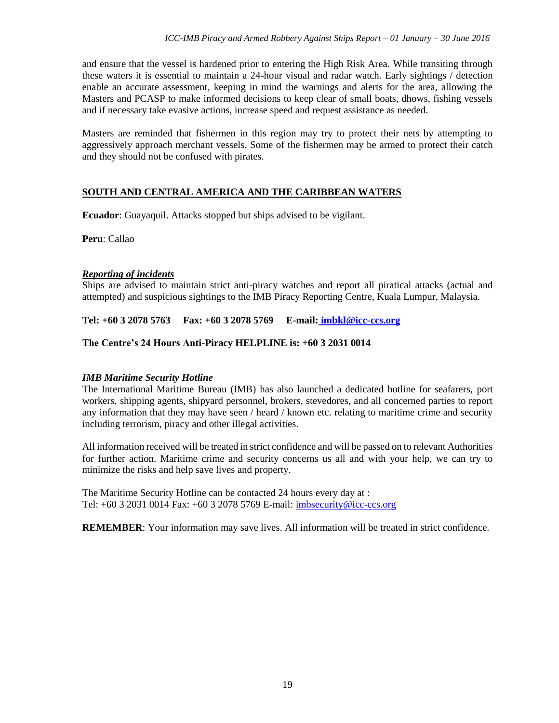and ensure that the vessel is hardened prior to entering the High Risk Area. While transiting through these waters it is essential to maintain a 24-hour visual and radar watch. Early sightings / detection enable an accurate assessment, keeping in mind the warnings and alerts for the area, allowing the Masters and PCASP to make informed decisions to keep clear of small boats, dhows, fishing vessels and if necessary take evasive actions, increase speed and request assistance as needed.

Masters are reminded that fishermen in this region may try to protect their nets by attempting to aggressively approach merchant vessels. Some of the fishermen may be armed to protect their catch and they should not be confused with pirates.

#### **SOUTH AND CENTRAL AMERICA AND THE CARIBBEAN WATERS**

**Ecuador**: Guayaquil. Attacks stopped but ships advised to be vigilant.

**Peru**: Callao

#### *Reporting of incidents*

Ships are advised to maintain strict anti-piracy watches and report all piratical attacks (actual and attempted) and suspicious sightings to the IMB Piracy Reporting Centre, Kuala Lumpur, Malaysia.

**Tel: +60 3 2078 5763 Fax: +60 3 2078 5769 E-mail: [imbkl@icc-ccs.org](mailto:imbkl@icc-ccs.org)**

#### **The Centre's 24 Hours Anti-Piracy HELPLINE is: +60 3 2031 0014**

#### *IMB Maritime Security Hotline*

The International Maritime Bureau (IMB) has also launched a dedicated hotline for seafarers, port workers, shipping agents, shipyard personnel, brokers, stevedores, and all concerned parties to report any information that they may have seen / heard / known etc. relating to maritime crime and security including terrorism, piracy and other illegal activities.

All information received will be treated in strict confidence and will be passed on to relevant Authorities for further action. Maritime crime and security concerns us all and with your help, we can try to minimize the risks and help save lives and property.

The Maritime Security Hotline can be contacted 24 hours every day at : Tel: +60 3 2031 0014 Fax: +60 3 2078 5769 E-mail: [imbsecurity@icc-ccs.org](mailto:imbsecurity@icc-ccs.org)

**REMEMBER**: Your information may save lives. All information will be treated in strict confidence.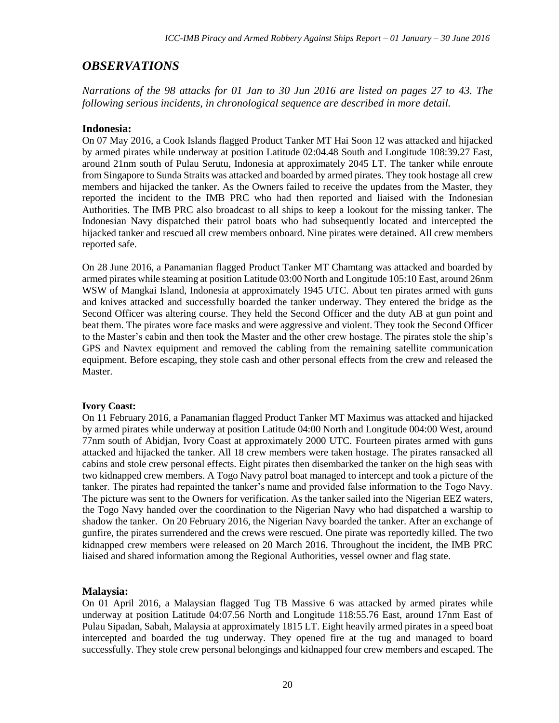## *OBSERVATIONS*

*Narrations of the 98 attacks for 01 Jan to 30 Jun 2016 are listed on pages 27 to 43. The following serious incidents, in chronological sequence are described in more detail.*

#### **Indonesia:**

On 07 May 2016, a Cook Islands flagged Product Tanker MT Hai Soon 12 was attacked and hijacked by armed pirates while underway at position Latitude 02:04.48 South and Longitude 108:39.27 East, around 21nm south of Pulau Serutu, Indonesia at approximately 2045 LT. The tanker while enroute from Singapore to Sunda Straits was attacked and boarded by armed pirates. They took hostage all crew members and hijacked the tanker. As the Owners failed to receive the updates from the Master, they reported the incident to the IMB PRC who had then reported and liaised with the Indonesian Authorities. The IMB PRC also broadcast to all ships to keep a lookout for the missing tanker. The Indonesian Navy dispatched their patrol boats who had subsequently located and intercepted the hijacked tanker and rescued all crew members onboard. Nine pirates were detained. All crew members reported safe.

On 28 June 2016, a Panamanian flagged Product Tanker MT Chamtang was attacked and boarded by armed pirates while steaming at position Latitude 03:00 North and Longitude 105:10 East, around 26nm WSW of Mangkai Island, Indonesia at approximately 1945 UTC. About ten pirates armed with guns and knives attacked and successfully boarded the tanker underway. They entered the bridge as the Second Officer was altering course. They held the Second Officer and the duty AB at gun point and beat them. The pirates wore face masks and were aggressive and violent. They took the Second Officer to the Master's cabin and then took the Master and the other crew hostage. The pirates stole the ship's GPS and Navtex equipment and removed the cabling from the remaining satellite communication equipment. Before escaping, they stole cash and other personal effects from the crew and released the Master.

#### **Ivory Coast:**

On 11 February 2016, a Panamanian flagged Product Tanker MT Maximus was attacked and hijacked by armed pirates while underway at position Latitude 04:00 North and Longitude 004:00 West, around 77nm south of Abidjan, Ivory Coast at approximately 2000 UTC. Fourteen pirates armed with guns attacked and hijacked the tanker. All 18 crew members were taken hostage. The pirates ransacked all cabins and stole crew personal effects. Eight pirates then disembarked the tanker on the high seas with two kidnapped crew members. A Togo Navy patrol boat managed to intercept and took a picture of the tanker. The pirates had repainted the tanker's name and provided false information to the Togo Navy. The picture was sent to the Owners for verification. As the tanker sailed into the Nigerian EEZ waters, the Togo Navy handed over the coordination to the Nigerian Navy who had dispatched a warship to shadow the tanker. On 20 February 2016, the Nigerian Navy boarded the tanker. After an exchange of gunfire, the pirates surrendered and the crews were rescued. One pirate was reportedly killed. The two kidnapped crew members were released on 20 March 2016. Throughout the incident, the IMB PRC liaised and shared information among the Regional Authorities, vessel owner and flag state.

#### **Malaysia:**

On 01 April 2016, a Malaysian flagged Tug TB Massive 6 was attacked by armed pirates while underway at position Latitude 04:07.56 North and Longitude 118:55.76 East, around 17nm East of Pulau Sipadan, Sabah, Malaysia at approximately 1815 LT. Eight heavily armed pirates in a speed boat intercepted and boarded the tug underway. They opened fire at the tug and managed to board successfully. They stole crew personal belongings and kidnapped four crew members and escaped. The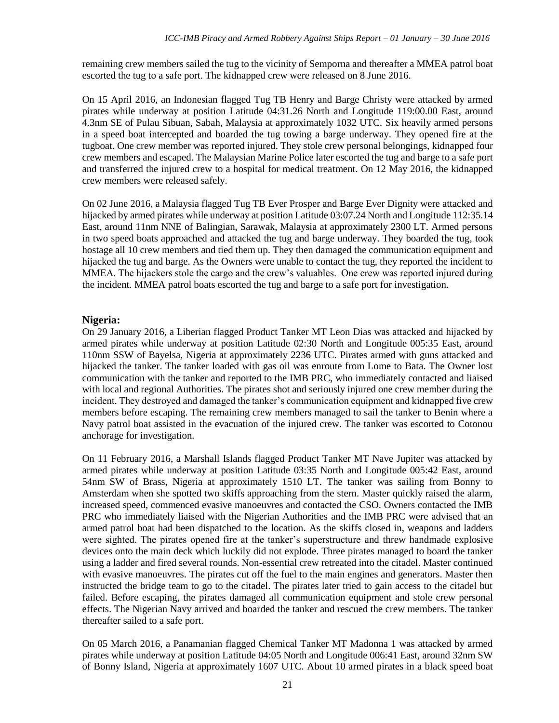remaining crew members sailed the tug to the vicinity of Semporna and thereafter a MMEA patrol boat escorted the tug to a safe port. The kidnapped crew were released on 8 June 2016.

On 15 April 2016, an Indonesian flagged Tug TB Henry and Barge Christy were attacked by armed pirates while underway at position Latitude 04:31.26 North and Longitude 119:00.00 East, around 4.3nm SE of Pulau Sibuan, Sabah, Malaysia at approximately 1032 UTC. Six heavily armed persons in a speed boat intercepted and boarded the tug towing a barge underway. They opened fire at the tugboat. One crew member was reported injured. They stole crew personal belongings, kidnapped four crew members and escaped. The Malaysian Marine Police later escorted the tug and barge to a safe port and transferred the injured crew to a hospital for medical treatment. On 12 May 2016, the kidnapped crew members were released safely.

On 02 June 2016, a Malaysia flagged Tug TB Ever Prosper and Barge Ever Dignity were attacked and hijacked by armed pirates while underway at position Latitude 03:07.24 North and Longitude 112:35.14 East, around 11nm NNE of Balingian, Sarawak, Malaysia at approximately 2300 LT. Armed persons in two speed boats approached and attacked the tug and barge underway. They boarded the tug, took hostage all 10 crew members and tied them up. They then damaged the communication equipment and hijacked the tug and barge. As the Owners were unable to contact the tug, they reported the incident to MMEA. The hijackers stole the cargo and the crew's valuables. One crew was reported injured during the incident. MMEA patrol boats escorted the tug and barge to a safe port for investigation.

#### **Nigeria:**

On 29 January 2016, a Liberian flagged Product Tanker MT Leon Dias was attacked and hijacked by armed pirates while underway at position Latitude 02:30 North and Longitude 005:35 East, around 110nm SSW of Bayelsa, Nigeria at approximately 2236 UTC. Pirates armed with guns attacked and hijacked the tanker. The tanker loaded with gas oil was enroute from Lome to Bata. The Owner lost communication with the tanker and reported to the IMB PRC, who immediately contacted and liaised with local and regional Authorities. The pirates shot and seriously injured one crew member during the incident. They destroyed and damaged the tanker's communication equipment and kidnapped five crew members before escaping. The remaining crew members managed to sail the tanker to Benin where a Navy patrol boat assisted in the evacuation of the injured crew. The tanker was escorted to Cotonou anchorage for investigation.

On 11 February 2016, a Marshall Islands flagged Product Tanker MT Nave Jupiter was attacked by armed pirates while underway at position Latitude 03:35 North and Longitude 005:42 East, around 54nm SW of Brass, Nigeria at approximately 1510 LT. The tanker was sailing from Bonny to Amsterdam when she spotted two skiffs approaching from the stern. Master quickly raised the alarm, increased speed, commenced evasive manoeuvres and contacted the CSO. Owners contacted the IMB PRC who immediately liaised with the Nigerian Authorities and the IMB PRC were advised that an armed patrol boat had been dispatched to the location. As the skiffs closed in, weapons and ladders were sighted. The pirates opened fire at the tanker's superstructure and threw handmade explosive devices onto the main deck which luckily did not explode. Three pirates managed to board the tanker using a ladder and fired several rounds. Non-essential crew retreated into the citadel. Master continued with evasive manoeuvres. The pirates cut off the fuel to the main engines and generators. Master then instructed the bridge team to go to the citadel. The pirates later tried to gain access to the citadel but failed. Before escaping, the pirates damaged all communication equipment and stole crew personal effects. The Nigerian Navy arrived and boarded the tanker and rescued the crew members. The tanker thereafter sailed to a safe port.

On 05 March 2016, a Panamanian flagged Chemical Tanker MT Madonna 1 was attacked by armed pirates while underway at position Latitude 04:05 North and Longitude 006:41 East, around 32nm SW of Bonny Island, Nigeria at approximately 1607 UTC. About 10 armed pirates in a black speed boat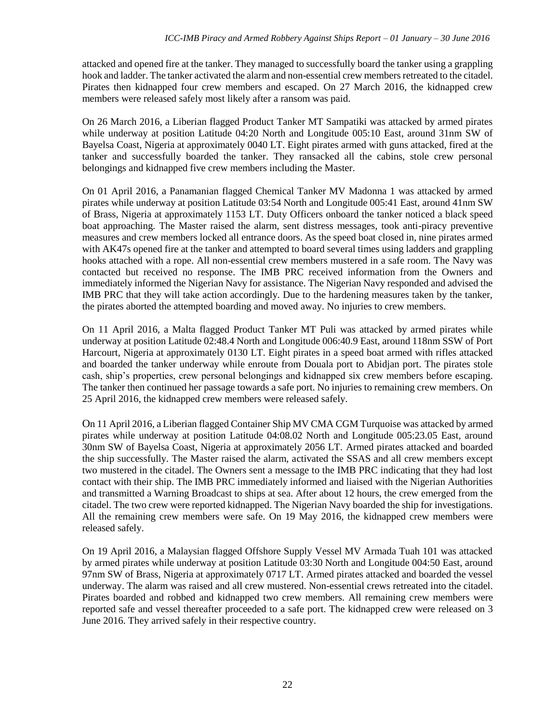attacked and opened fire at the tanker. They managed to successfully board the tanker using a grappling hook and ladder. The tanker activated the alarm and non-essential crew members retreated to the citadel. Pirates then kidnapped four crew members and escaped. On 27 March 2016, the kidnapped crew members were released safely most likely after a ransom was paid.

On 26 March 2016, a Liberian flagged Product Tanker MT Sampatiki was attacked by armed pirates while underway at position Latitude 04:20 North and Longitude 005:10 East, around 31nm SW of Bayelsa Coast, Nigeria at approximately 0040 LT. Eight pirates armed with guns attacked, fired at the tanker and successfully boarded the tanker. They ransacked all the cabins, stole crew personal belongings and kidnapped five crew members including the Master.

On 01 April 2016, a Panamanian flagged Chemical Tanker MV Madonna 1 was attacked by armed pirates while underway at position Latitude 03:54 North and Longitude 005:41 East, around 41nm SW of Brass, Nigeria at approximately 1153 LT. Duty Officers onboard the tanker noticed a black speed boat approaching. The Master raised the alarm, sent distress messages, took anti-piracy preventive measures and crew members locked all entrance doors. As the speed boat closed in, nine pirates armed with AK47s opened fire at the tanker and attempted to board several times using ladders and grappling hooks attached with a rope. All non-essential crew members mustered in a safe room. The Navy was contacted but received no response. The IMB PRC received information from the Owners and immediately informed the Nigerian Navy for assistance. The Nigerian Navy responded and advised the IMB PRC that they will take action accordingly. Due to the hardening measures taken by the tanker, the pirates aborted the attempted boarding and moved away. No injuries to crew members.

On 11 April 2016, a Malta flagged Product Tanker MT Puli was attacked by armed pirates while underway at position Latitude 02:48.4 North and Longitude 006:40.9 East, around 118nm SSW of Port Harcourt, Nigeria at approximately 0130 LT. Eight pirates in a speed boat armed with rifles attacked and boarded the tanker underway while enroute from Douala port to Abidjan port. The pirates stole cash, ship's properties, crew personal belongings and kidnapped six crew members before escaping. The tanker then continued her passage towards a safe port. No injuries to remaining crew members. On 25 April 2016, the kidnapped crew members were released safely.

On 11 April 2016, a Liberian flagged Container Ship MV CMA CGM Turquoise was attacked by armed pirates while underway at position Latitude 04:08.02 North and Longitude 005:23.05 East, around 30nm SW of Bayelsa Coast, Nigeria at approximately 2056 LT. Armed pirates attacked and boarded the ship successfully. The Master raised the alarm, activated the SSAS and all crew members except two mustered in the citadel. The Owners sent a message to the IMB PRC indicating that they had lost contact with their ship. The IMB PRC immediately informed and liaised with the Nigerian Authorities and transmitted a Warning Broadcast to ships at sea. After about 12 hours, the crew emerged from the citadel. The two crew were reported kidnapped. The Nigerian Navy boarded the ship for investigations. All the remaining crew members were safe. On 19 May 2016, the kidnapped crew members were released safely.

On 19 April 2016, a Malaysian flagged Offshore Supply Vessel MV Armada Tuah 101 was attacked by armed pirates while underway at position Latitude 03:30 North and Longitude 004:50 East, around 97nm SW of Brass, Nigeria at approximately 0717 LT. Armed pirates attacked and boarded the vessel underway. The alarm was raised and all crew mustered. Non-essential crews retreated into the citadel. Pirates boarded and robbed and kidnapped two crew members. All remaining crew members were reported safe and vessel thereafter proceeded to a safe port. The kidnapped crew were released on 3 June 2016. They arrived safely in their respective country.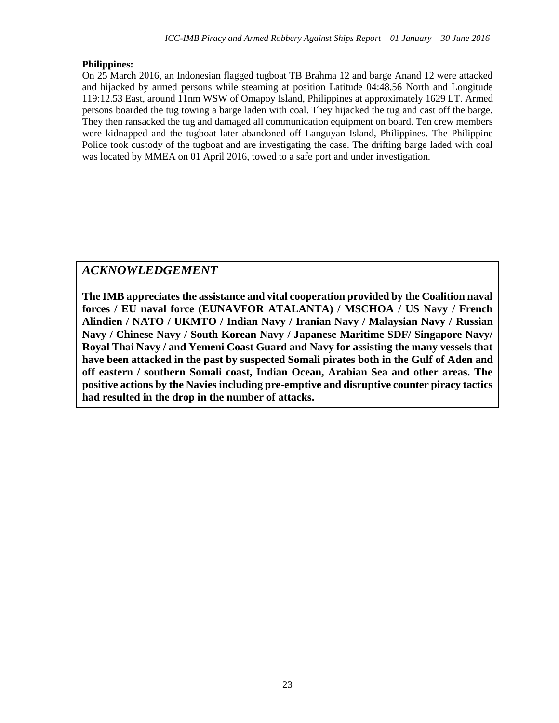#### **Philippines:**

On 25 March 2016, an Indonesian flagged tugboat TB Brahma 12 and barge Anand 12 were attacked and hijacked by armed persons while steaming at position Latitude 04:48.56 North and Longitude 119:12.53 East, around 11nm WSW of Omapoy Island, Philippines at approximately 1629 LT. Armed persons boarded the tug towing a barge laden with coal. They hijacked the tug and cast off the barge. They then ransacked the tug and damaged all communication equipment on board. Ten crew members were kidnapped and the tugboat later abandoned off Languyan Island, Philippines. The Philippine Police took custody of the tugboat and are investigating the case. The drifting barge laded with coal was located by MMEA on 01 April 2016, towed to a safe port and under investigation.

## *ACKNOWLEDGEMENT*

**The IMB appreciates the assistance and vital cooperation provided by the Coalition naval forces / EU naval force (EUNAVFOR ATALANTA) / MSCHOA / US Navy / French Alindien / NATO / UKMTO / Indian Navy / Iranian Navy / Malaysian Navy / Russian Navy / Chinese Navy / South Korean Navy / Japanese Maritime SDF/ Singapore Navy/ Royal Thai Navy / and Yemeni Coast Guard and Navy for assisting the many vessels that have been attacked in the past by suspected Somali pirates both in the Gulf of Aden and off eastern / southern Somali coast, Indian Ocean, Arabian Sea and other areas. The positive actions by the Navies including pre-emptive and disruptive counter piracy tactics had resulted in the drop in the number of attacks.**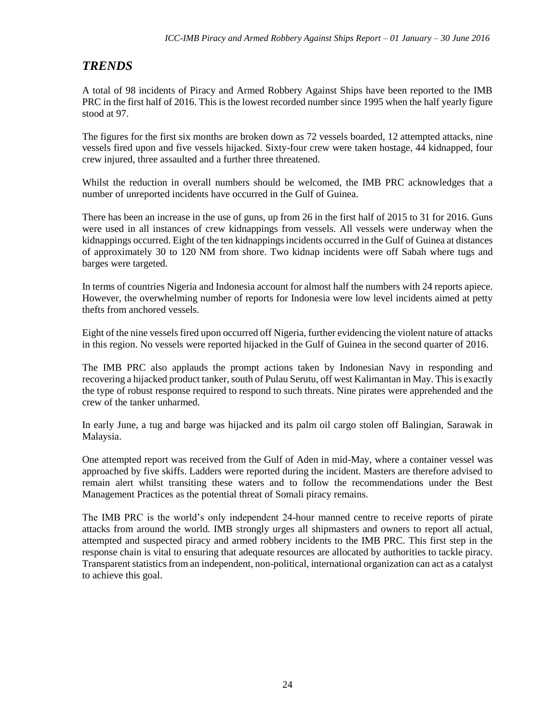## *TRENDS*

A total of 98 incidents of Piracy and Armed Robbery Against Ships have been reported to the IMB PRC in the first half of 2016. This is the lowest recorded number since 1995 when the half yearly figure stood at 97.

The figures for the first six months are broken down as 72 vessels boarded, 12 attempted attacks, nine vessels fired upon and five vessels hijacked. Sixty-four crew were taken hostage, 44 kidnapped, four crew injured, three assaulted and a further three threatened.

Whilst the reduction in overall numbers should be welcomed, the IMB PRC acknowledges that a number of unreported incidents have occurred in the Gulf of Guinea.

There has been an increase in the use of guns, up from 26 in the first half of 2015 to 31 for 2016. Guns were used in all instances of crew kidnappings from vessels. All vessels were underway when the kidnappings occurred. Eight of the ten kidnappings incidents occurred in the Gulf of Guinea at distances of approximately 30 to 120 NM from shore. Two kidnap incidents were off Sabah where tugs and barges were targeted.

In terms of countries Nigeria and Indonesia account for almost half the numbers with 24 reports apiece. However, the overwhelming number of reports for Indonesia were low level incidents aimed at petty thefts from anchored vessels.

Eight of the nine vessels fired upon occurred off Nigeria, further evidencing the violent nature of attacks in this region. No vessels were reported hijacked in the Gulf of Guinea in the second quarter of 2016.

The IMB PRC also applauds the prompt actions taken by Indonesian Navy in responding and recovering a hijacked product tanker, south of Pulau Serutu, off west Kalimantan in May. This is exactly the type of robust response required to respond to such threats. Nine pirates were apprehended and the crew of the tanker unharmed.

In early June, a tug and barge was hijacked and its palm oil cargo stolen off Balingian, Sarawak in Malaysia.

One attempted report was received from the Gulf of Aden in mid-May, where a container vessel was approached by five skiffs. Ladders were reported during the incident. Masters are therefore advised to remain alert whilst transiting these waters and to follow the recommendations under the Best Management Practices as the potential threat of Somali piracy remains.

The IMB PRC is the world's only independent 24-hour manned centre to receive reports of pirate attacks from around the world. IMB strongly urges all shipmasters and owners to report all actual, attempted and suspected piracy and armed robbery incidents to the IMB PRC. This first step in the response chain is vital to ensuring that adequate resources are allocated by authorities to tackle piracy. Transparent statistics from an independent, non-political, international organization can act as a catalyst to achieve this goal.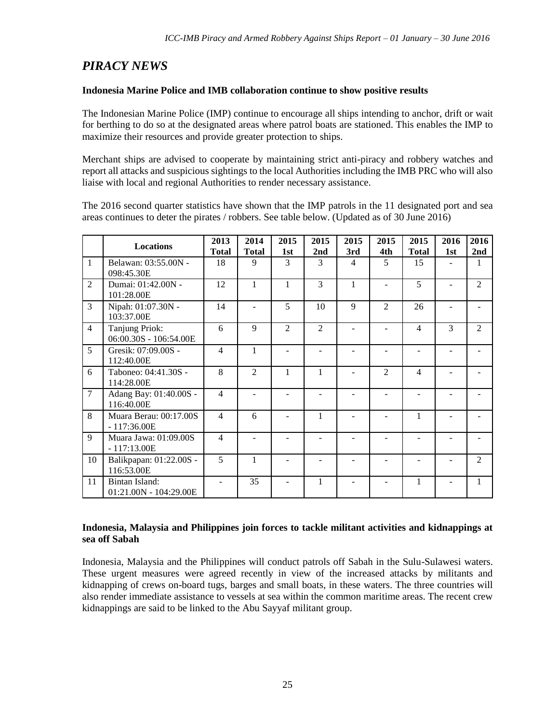## *PIRACY NEWS*

#### **Indonesia Marine Police and IMB collaboration continue to show positive results**

The Indonesian Marine Police (IMP) continue to encourage all ships intending to anchor, drift or wait for berthing to do so at the designated areas where patrol boats are stationed. This enables the IMP to maximize their resources and provide greater protection to ships.

Merchant ships are advised to cooperate by maintaining strict anti-piracy and robbery watches and report all attacks and suspicious sightings to the local Authorities including the IMB PRC who will also liaise with local and regional Authorities to render necessary assistance.

The 2016 second quarter statistics have shown that the IMP patrols in the 11 designated port and sea areas continues to deter the pirates / robbers. See table below. (Updated as of 30 June 2016)

|                | <b>Locations</b>                         | 2013<br><b>Total</b> | 2014<br><b>Total</b> | 2015<br>1st    | 2015<br>2nd    | 2015<br>3rd    | 2015<br>4th    | 2015<br><b>Total</b> | 2016<br>1st | 2016<br>2nd    |
|----------------|------------------------------------------|----------------------|----------------------|----------------|----------------|----------------|----------------|----------------------|-------------|----------------|
| 1              | Belawan: 03:55.00N -<br>098:45.30E       | 18                   | 9                    | 3              | 3              | $\overline{4}$ | 5              | 15                   |             |                |
| $\overline{2}$ | Dumai: 01:42.00N -<br>101:28.00E         | 12                   | 1                    | 1              | 3              | 1              |                | 5                    |             | $\mathfrak{D}$ |
| 3              | Nipah: 01:07.30N -<br>103:37.00E         | 14                   |                      | 5              | 10             | 9              | $\overline{2}$ | 26                   |             |                |
| $\overline{4}$ | Tanjung Priok:<br>06:00.30S - 106:54.00E | 6                    | $\mathbf{Q}$         | $\mathfrak{D}$ | $\overline{c}$ |                |                | $\overline{4}$       | 3           | $\overline{2}$ |
| 5              | Gresik: 07:09.00S -<br>112:40.00E        | $\overline{4}$       | 1                    |                |                |                |                |                      |             |                |
| 6              | Taboneo: 04:41.30S -<br>114:28.00E       | 8                    | $\mathfrak{D}$       | 1              | 1              |                | $\mathfrak{D}$ | 4                    |             |                |
| $\overline{7}$ | Adang Bay: 01:40.00S -<br>116:40.00E     | $\overline{4}$       |                      |                |                |                |                |                      |             |                |
| 8              | Muara Berau: 00:17.00S<br>$-117:36.00E$  | $\overline{4}$       | 6                    |                | 1              |                |                | 1                    |             |                |
| 9              | Muara Jawa: 01:09.00S<br>$-117:13.00E$   | $\overline{4}$       |                      |                |                |                |                |                      |             |                |
| 10             | Balikpapan: 01:22.00S -<br>116:53.00E    | 5                    | 1                    |                |                |                |                |                      |             | $\overline{2}$ |
| 11             | Bintan Island:<br>01:21.00N - 104:29.00E |                      | 35                   |                | 1              |                |                | 1                    |             | 1              |

#### **Indonesia, Malaysia and Philippines join forces to tackle militant activities and kidnappings at sea off Sabah**

Indonesia, Malaysia and the Philippines will conduct patrols off Sabah in the Sulu-Sulawesi waters. These urgent measures were agreed recently in view of the increased attacks by militants and kidnapping of crews on-board tugs, barges and small boats, in these waters. The three countries will also render immediate assistance to vessels at sea within the common maritime areas. The recent crew kidnappings are said to be linked to the Abu Sayyaf militant group.